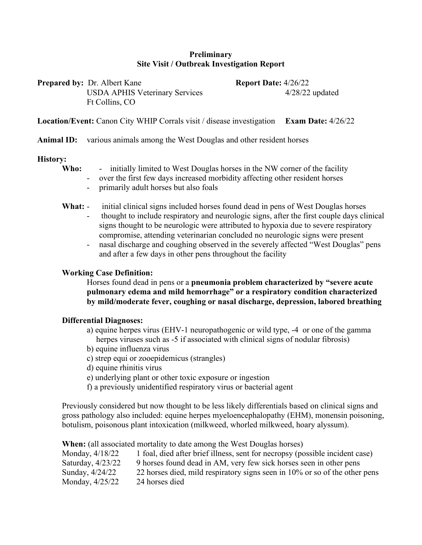## **Preliminary Site Visit / Outbreak Investigation Report**

| <b>Prepared by:</b> Dr. Albert Kane   | <b>Report Date:</b> $4/26/22$ |
|---------------------------------------|-------------------------------|
| <b>USDA APHIS Veterinary Services</b> | $4/28/22$ updated             |
| Ft Collins, CO                        |                               |

**Location/Event:** Canon City WHIP Corrals visit / disease investigation **Exam Date:** 4/26/22

#### **Animal ID:** various animals among the West Douglas and other resident horses

#### **History:**

**Who:** - initially limited to West Douglas horses in the NW corner of the facility

- over the first few days increased morbidity affecting other resident horses
- primarily adult horses but also foals
- **What:** initial clinical signs included horses found dead in pens of West Douglas horses
	- thought to include respiratory and neurologic signs, after the first couple days clinical signs thought to be neurologic were attributed to hypoxia due to severe respiratory compromise, attending veterinarian concluded no neurologic signs were present
	- nasal discharge and coughing observed in the severely affected "West Douglas" pens and after a few days in other pens throughout the facility

#### **Working Case Definition:**

Horses found dead in pens or a **pneumonia problem characterized by "severe acute pulmonary edema and mild hemorrhage" or a respiratory condition characterized by mild/moderate fever, coughing or nasal discharge, depression, labored breathing**

## **Differential Diagnoses:**

- a) equine herpes virus (EHV-1 neuropathogenic or wild type, -4 or one of the gamma herpes viruses such as -5 if associated with clinical signs of nodular fibrosis)
- b) equine influenza virus
- c) strep equi or zooepidemicus (strangles)
- d) equine rhinitis virus
- e) underlying plant or other toxic exposure or ingestion
- f) a previously unidentified respiratory virus or bacterial agent

Previously considered but now thought to be less likely differentials based on clinical signs and gross pathology also included: equine herpes myeloencephalopathy (EHM), monensin poisoning, botulism, poisonous plant intoxication (milkweed, whorled milkweed, hoary alyssum).

| <b>When:</b> (all associated mortality to date among the West Douglas horses) |                                                                              |
|-------------------------------------------------------------------------------|------------------------------------------------------------------------------|
| Monday, 4/18/22                                                               | 1 foal, died after brief illness, sent for necropsy (possible incident case) |
| Saturday, 4/23/22                                                             | 9 horses found dead in AM, very few sick horses seen in other pens           |
| Sunday, 4/24/22                                                               | 22 horses died, mild respiratory signs seen in 10% or so of the other pens   |
| Monday, 4/25/22                                                               | 24 horses died                                                               |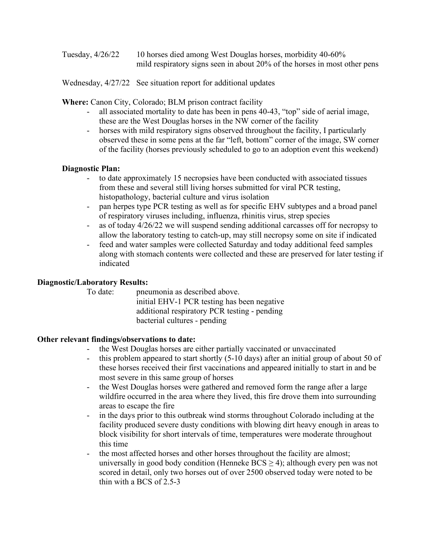Tuesday, 4/26/22 10 horses died among West Douglas horses, morbidity 40-60% mild respiratory signs seen in about 20% of the horses in most other pens

Wednesday, 4/27/22 See situation report for additional updates

**Where:** Canon City, Colorado; BLM prison contract facility

- all associated mortality to date has been in pens 40-43, "top" side of aerial image, these are the West Douglas horses in the NW corner of the facility
- horses with mild respiratory signs observed throughout the facility, I particularly observed these in some pens at the far "left, bottom" corner of the image, SW corner of the facility (horses previously scheduled to go to an adoption event this weekend)

## **Diagnostic Plan:**

- to date approximately 15 necropsies have been conducted with associated tissues from these and several still living horses submitted for viral PCR testing, histopathology, bacterial culture and virus isolation
- pan herpes type PCR testing as well as for specific EHV subtypes and a broad panel of respiratory viruses including, influenza, rhinitis virus, strep species
- as of today 4/26/22 we will suspend sending additional carcasses off for necropsy to allow the laboratory testing to catch-up, may still necropsy some on site if indicated
- feed and water samples were collected Saturday and today additional feed samples along with stomach contents were collected and these are preserved for later testing if indicated

## **Diagnostic/Laboratory Results:**

To date: pneumonia as described above. initial EHV-1 PCR testing has been negative additional respiratory PCR testing - pending bacterial cultures - pending

# **Other relevant findings/observations to date:**

- the West Douglas horses are either partially vaccinated or unvaccinated
- this problem appeared to start shortly (5-10 days) after an initial group of about 50 of these horses received their first vaccinations and appeared initially to start in and be most severe in this same group of horses
- the West Douglas horses were gathered and removed form the range after a large wildfire occurred in the area where they lived, this fire drove them into surrounding areas to escape the fire
- in the days prior to this outbreak wind storms throughout Colorado including at the facility produced severe dusty conditions with blowing dirt heavy enough in areas to block visibility for short intervals of time, temperatures were moderate throughout this time
- the most affected horses and other horses throughout the facility are almost; universally in good body condition (Henneke  $BCS \ge 4$ ); although every pen was not scored in detail, only two horses out of over 2500 observed today were noted to be thin with a BCS of 2.5-3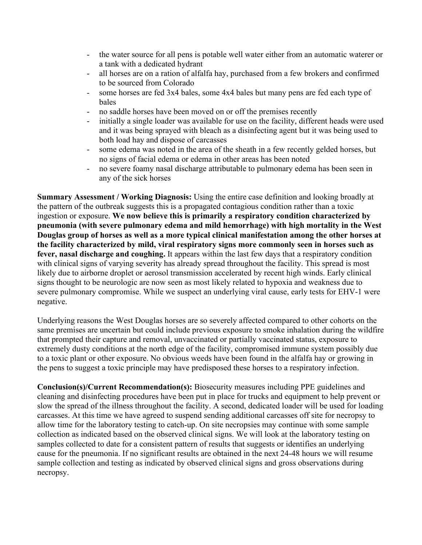- the water source for all pens is potable well water either from an automatic waterer or a tank with a dedicated hydrant
- all horses are on a ration of alfalfa hay, purchased from a few brokers and confirmed to be sourced from Colorado
- some horses are fed 3x4 bales, some 4x4 bales but many pens are fed each type of bales
- no saddle horses have been moved on or off the premises recently
- initially a single loader was available for use on the facility, different heads were used and it was being sprayed with bleach as a disinfecting agent but it was being used to both load hay and dispose of carcasses
- some edema was noted in the area of the sheath in a few recently gelded horses, but no signs of facial edema or edema in other areas has been noted
- no severe foamy nasal discharge attributable to pulmonary edema has been seen in any of the sick horses

**Summary Assessment / Working Diagnosis:** Using the entire case definition and looking broadly at the pattern of the outbreak suggests this is a propagated contagious condition rather than a toxic ingestion or exposure. **We now believe this is primarily a respiratory condition characterized by pneumonia (with severe pulmonary edema and mild hemorrhage) with high mortality in the West Douglas group of horses as well as a more typical clinical manifestation among the other horses at the facility characterized by mild, viral respiratory signs more commonly seen in horses such as fever, nasal discharge and coughing.** It appears within the last few days that a respiratory condition with clinical signs of varying severity has already spread throughout the facility. This spread is most likely due to airborne droplet or aerosol transmission accelerated by recent high winds. Early clinical signs thought to be neurologic are now seen as most likely related to hypoxia and weakness due to severe pulmonary compromise. While we suspect an underlying viral cause, early tests for EHV-1 were negative.

Underlying reasons the West Douglas horses are so severely affected compared to other cohorts on the same premises are uncertain but could include previous exposure to smoke inhalation during the wildfire that prompted their capture and removal, unvaccinated or partially vaccinated status, exposure to extremely dusty conditions at the north edge of the facility, compromised immune system possibly due to a toxic plant or other exposure. No obvious weeds have been found in the alfalfa hay or growing in the pens to suggest a toxic principle may have predisposed these horses to a respiratory infection.

**Conclusion(s)/Current Recommendation(s):** Biosecurity measures including PPE guidelines and cleaning and disinfecting procedures have been put in place for trucks and equipment to help prevent or slow the spread of the illness throughout the facility. A second, dedicated loader will be used for loading carcasses. At this time we have agreed to suspend sending additional carcasses off site for necropsy to allow time for the laboratory testing to catch-up. On site necropsies may continue with some sample collection as indicated based on the observed clinical signs. We will look at the laboratory testing on samples collected to date for a consistent pattern of results that suggests or identifies an underlying cause for the pneumonia. If no significant results are obtained in the next 24-48 hours we will resume sample collection and testing as indicated by observed clinical signs and gross observations during necropsy.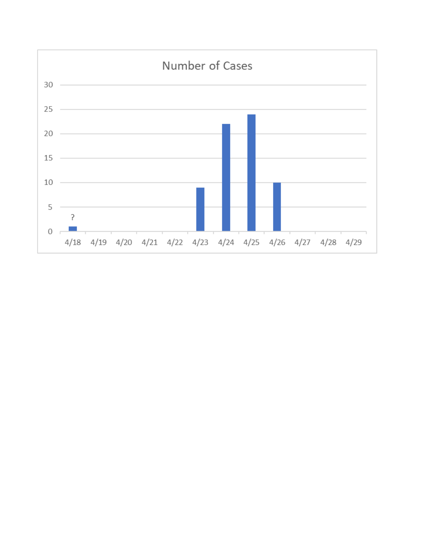